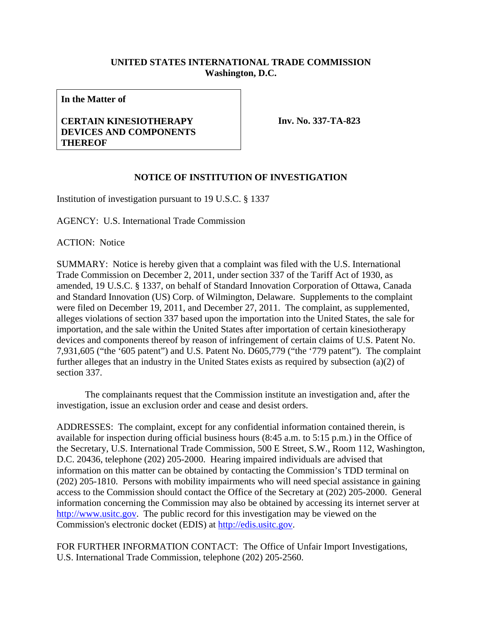## **UNITED STATES INTERNATIONAL TRADE COMMISSION Washington, D.C.**

**In the Matter of** 

## **CERTAIN KINESIOTHERAPY DEVICES AND COMPONENTS THEREOF**

**Inv. No. 337-TA-823**

## **NOTICE OF INSTITUTION OF INVESTIGATION**

Institution of investigation pursuant to 19 U.S.C. § 1337

AGENCY: U.S. International Trade Commission

ACTION: Notice

SUMMARY: Notice is hereby given that a complaint was filed with the U.S. International Trade Commission on December 2, 2011, under section 337 of the Tariff Act of 1930, as amended, 19 U.S.C. § 1337, on behalf of Standard Innovation Corporation of Ottawa, Canada and Standard Innovation (US) Corp. of Wilmington, Delaware. Supplements to the complaint were filed on December 19, 2011, and December 27, 2011. The complaint, as supplemented, alleges violations of section 337 based upon the importation into the United States, the sale for importation, and the sale within the United States after importation of certain kinesiotherapy devices and components thereof by reason of infringement of certain claims of U.S. Patent No. 7,931,605 ("the '605 patent") and U.S. Patent No. D605,779 ("the '779 patent"). The complaint further alleges that an industry in the United States exists as required by subsection (a)(2) of section 337.

 The complainants request that the Commission institute an investigation and, after the investigation, issue an exclusion order and cease and desist orders.

ADDRESSES: The complaint, except for any confidential information contained therein, is available for inspection during official business hours (8:45 a.m. to 5:15 p.m.) in the Office of the Secretary, U.S. International Trade Commission, 500 E Street, S.W., Room 112, Washington, D.C. 20436, telephone (202) 205-2000. Hearing impaired individuals are advised that information on this matter can be obtained by contacting the Commission's TDD terminal on (202) 205-1810. Persons with mobility impairments who will need special assistance in gaining access to the Commission should contact the Office of the Secretary at (202) 205-2000. General information concerning the Commission may also be obtained by accessing its internet server at http://www.usitc.gov. The public record for this investigation may be viewed on the Commission's electronic docket (EDIS) at http://edis.usitc.gov.

FOR FURTHER INFORMATION CONTACT: The Office of Unfair Import Investigations, U.S. International Trade Commission, telephone (202) 205-2560.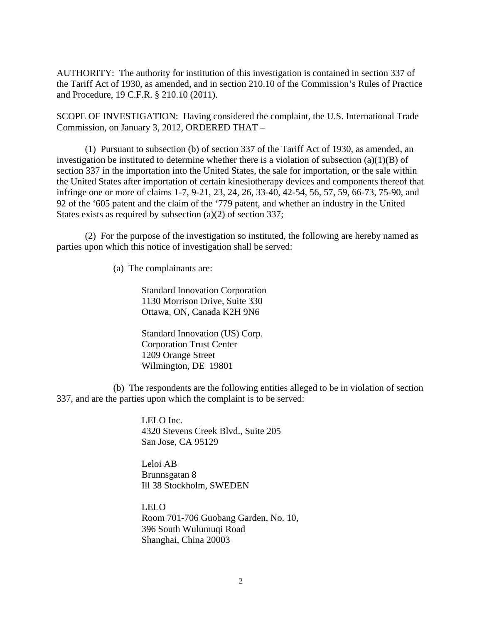AUTHORITY: The authority for institution of this investigation is contained in section 337 of the Tariff Act of 1930, as amended, and in section 210.10 of the Commission's Rules of Practice and Procedure, 19 C.F.R. § 210.10 (2011).

SCOPE OF INVESTIGATION: Having considered the complaint, the U.S. International Trade Commission, on January 3, 2012, ORDERED THAT –

 (1) Pursuant to subsection (b) of section 337 of the Tariff Act of 1930, as amended, an investigation be instituted to determine whether there is a violation of subsection  $(a)(1)(B)$  of section 337 in the importation into the United States, the sale for importation, or the sale within the United States after importation of certain kinesiotherapy devices and components thereof that infringe one or more of claims 1-7, 9-21, 23, 24, 26, 33-40, 42-54, 56, 57, 59, 66-73, 75-90, and 92 of the '605 patent and the claim of the '779 patent, and whether an industry in the United States exists as required by subsection (a)(2) of section 337;

 (2) For the purpose of the investigation so instituted, the following are hereby named as parties upon which this notice of investigation shall be served:

(a) The complainants are:

 Standard Innovation Corporation 1130 Morrison Drive, Suite 330 Ottawa, ON, Canada K2H 9N6

 Standard Innovation (US) Corp. Corporation Trust Center 1209 Orange Street Wilmington, DE 19801

 (b) The respondents are the following entities alleged to be in violation of section 337, and are the parties upon which the complaint is to be served:

> LELO Inc. 4320 Stevens Creek Blvd., Suite 205 San Jose, CA 95129

Leloi AB Brunnsgatan 8 Ill 38 Stockholm, SWEDEN

LELO Room 701-706 Guobang Garden, No. 10, 396 South Wulumuqi Road Shanghai, China 20003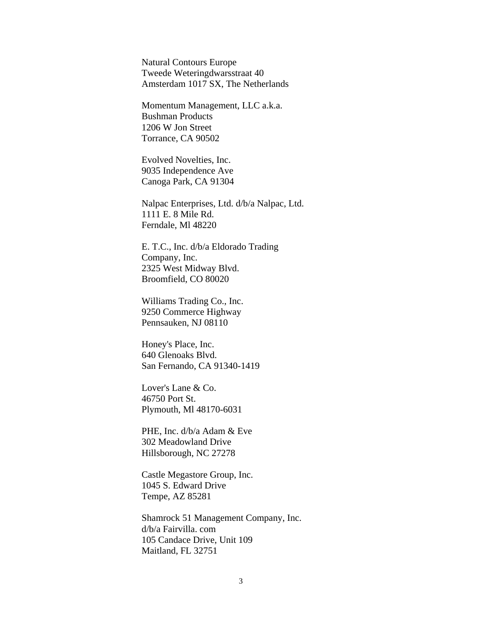Natural Contours Europe Tweede Weteringdwarsstraat 40 Amsterdam 1017 SX, The Netherlands

Momentum Management, LLC a.k.a. Bushman Products 1206 W Jon Street Torrance, CA 90502

Evolved Novelties, Inc. 9035 Independence Ave Canoga Park, CA 91304

Nalpac Enterprises, Ltd. d/b/a Nalpac, Ltd. 1111 E. 8 Mile Rd. Ferndale, Ml 48220

E. T.C., Inc. d/b/a Eldorado Trading Company, Inc. 2325 West Midway Blvd. Broomfield, CO 80020

Williams Trading Co., Inc. 9250 Commerce Highway Pennsauken, NJ 08110

Honey's Place, Inc. 640 Glenoaks Blvd. San Fernando, CA 91340-1419

Lover's Lane & Co. 46750 Port St. Plymouth, Ml 48170-6031

PHE, Inc. d/b/a Adam & Eve 302 Meadowland Drive Hillsborough, NC 27278

Castle Megastore Group, Inc. 1045 S. Edward Drive Tempe, AZ 85281

Shamrock 51 Management Company, Inc. d/b/a Fairvilla. com 105 Candace Drive, Unit 109 Maitland, FL 32751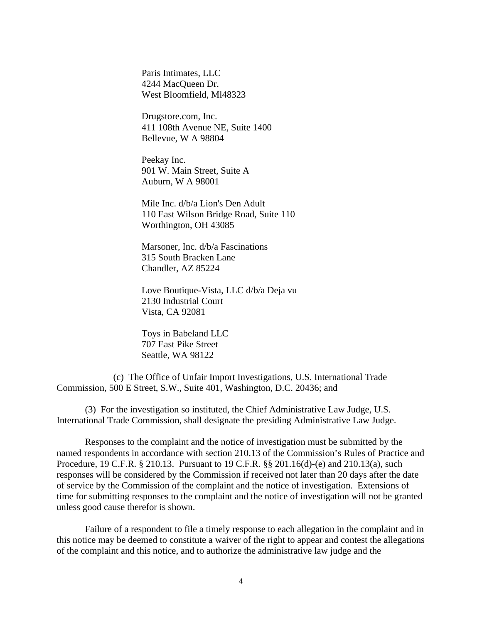Paris Intimates, LLC 4244 MacQueen Dr. West Bloomfield, Ml48323

Drugstore.com, Inc. 411 108th Avenue NE, Suite 1400 Bellevue, W A 98804

Peekay Inc. 901 W. Main Street, Suite A Auburn, W A 98001

Mile Inc. d/b/a Lion's Den Adult 110 East Wilson Bridge Road, Suite 110 Worthington, OH 43085

Marsoner, Inc. d/b/a Fascinations 315 South Bracken Lane Chandler, AZ 85224

Love Boutique-Vista, LLC d/b/a Deja vu 2130 Industrial Court Vista, CA 92081

Toys in Babeland LLC 707 East Pike Street Seattle, WA 98122

 (c) The Office of Unfair Import Investigations, U.S. International Trade Commission, 500 E Street, S.W., Suite 401, Washington, D.C. 20436; and

 (3) For the investigation so instituted, the Chief Administrative Law Judge, U.S. International Trade Commission, shall designate the presiding Administrative Law Judge.

 Responses to the complaint and the notice of investigation must be submitted by the named respondents in accordance with section 210.13 of the Commission's Rules of Practice and Procedure, 19 C.F.R. § 210.13. Pursuant to 19 C.F.R. §§ 201.16(d)-(e) and 210.13(a), such responses will be considered by the Commission if received not later than 20 days after the date of service by the Commission of the complaint and the notice of investigation. Extensions of time for submitting responses to the complaint and the notice of investigation will not be granted unless good cause therefor is shown.

 Failure of a respondent to file a timely response to each allegation in the complaint and in this notice may be deemed to constitute a waiver of the right to appear and contest the allegations of the complaint and this notice, and to authorize the administrative law judge and the